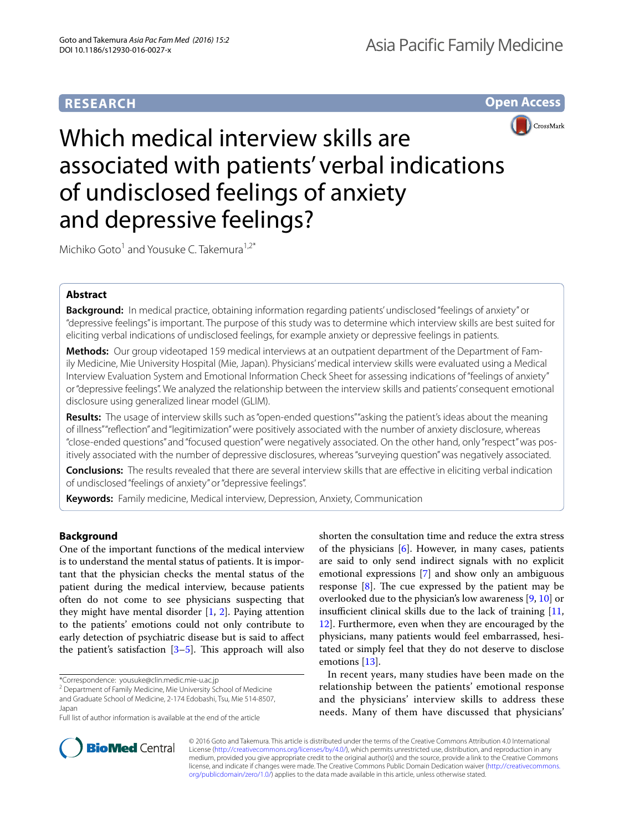# **RESEARCH**

**Open Access**



# Which medical interview skills are associated with patients' verbal indications of undisclosed feelings of anxiety and depressive feelings?

Michiko Goto<sup>1</sup> and Yousuke C. Takemura<sup>1,2\*</sup>

# **Abstract**

**Background:** In medical practice, obtaining information regarding patients' undisclosed "feelings of anxiety" or "depressive feelings" is important. The purpose of this study was to determine which interview skills are best suited for eliciting verbal indications of undisclosed feelings, for example anxiety or depressive feelings in patients.

**Methods:** Our group videotaped 159 medical interviews at an outpatient department of the Department of Family Medicine, Mie University Hospital (Mie, Japan). Physicians' medical interview skills were evaluated using a Medical Interview Evaluation System and Emotional Information Check Sheet for assessing indications of "feelings of anxiety" or "depressive feelings". We analyzed the relationship between the interview skills and patients' consequent emotional disclosure using generalized linear model (GLIM).

**Results:** The usage of interview skills such as "open-ended questions" "asking the patient's ideas about the meaning of illness" "reflection" and "legitimization" were positively associated with the number of anxiety disclosure, whereas "close-ended questions" and "focused question" were negatively associated. On the other hand, only "respect" was positively associated with the number of depressive disclosures, whereas "surveying question" was negatively associated.

**Conclusions:** The results revealed that there are several interview skills that are effective in eliciting verbal indication of undisclosed "feelings of anxiety" or "depressive feelings".

**Keywords:** Family medicine, Medical interview, Depression, Anxiety, Communication

# **Background**

One of the important functions of the medical interview is to understand the mental status of patients. It is important that the physician checks the mental status of the patient during the medical interview, because patients often do not come to see physicians suspecting that they might have mental disorder  $[1, 2]$  $[1, 2]$  $[1, 2]$  $[1, 2]$ . Paying attention to the patients' emotions could not only contribute to early detection of psychiatric disease but is said to affect the patient's satisfaction  $[3-5]$  $[3-5]$ . This approach will also

shorten the consultation time and reduce the extra stress of the physicians  $[6]$  $[6]$ . However, in many cases, patients are said to only send indirect signals with no explicit emotional expressions [[7\]](#page-5-5) and show only an ambiguous response  $[8]$  $[8]$ . The cue expressed by the patient may be overlooked due to the physician's low awareness [\[9,](#page-5-7) [10](#page-5-8)] or insufficient clinical skills due to the lack of training [[11](#page-5-9), [12\]](#page-5-10). Furthermore, even when they are encouraged by the physicians, many patients would feel embarrassed, hesitated or simply feel that they do not deserve to disclose emotions [\[13](#page-5-11)].

In recent years, many studies have been made on the relationship between the patients' emotional response and the physicians' interview skills to address these needs. Many of them have discussed that physicians'



© 2016 Goto and Takemura. This article is distributed under the terms of the Creative Commons Attribution 4.0 International License (<http://creativecommons.org/licenses/by/4.0/>), which permits unrestricted use, distribution, and reproduction in any medium, provided you give appropriate credit to the original author(s) and the source, provide a link to the Creative Commons license, and indicate if changes were made. The Creative Commons Public Domain Dedication waiver ([http://creativecommons.](http://creativecommons.org/publicdomain/zero/1.0/) [org/publicdomain/zero/1.0/](http://creativecommons.org/publicdomain/zero/1.0/)) applies to the data made available in this article, unless otherwise stated.

<sup>\*</sup>Correspondence: yousuke@clin.medic.mie-u.ac.jp 2

<sup>&</sup>lt;sup>2</sup> Department of Family Medicine, Mie University School of Medicine and Graduate School of Medicine, 2-174 Edobashi, Tsu, Mie 514-8507, Japan

Full list of author information is available at the end of the article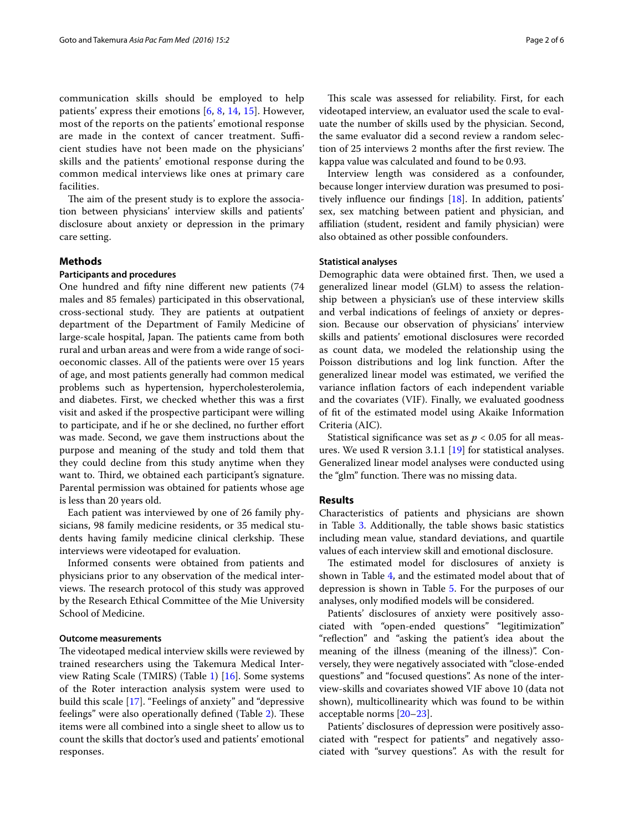communication skills should be employed to help patients' express their emotions [\[6](#page-5-4), [8](#page-5-6), [14,](#page-5-12) [15\]](#page-5-13). However, most of the reports on the patients' emotional response are made in the context of cancer treatment. Sufficient studies have not been made on the physicians' skills and the patients' emotional response during the common medical interviews like ones at primary care facilities.

The aim of the present study is to explore the association between physicians' interview skills and patients' disclosure about anxiety or depression in the primary care setting.

# **Methods**

## **Participants and procedures**

One hundred and fifty nine different new patients (74 males and 85 females) participated in this observational, cross-sectional study. They are patients at outpatient department of the Department of Family Medicine of large-scale hospital, Japan. The patients came from both rural and urban areas and were from a wide range of socioeconomic classes. All of the patients were over 15 years of age, and most patients generally had common medical problems such as hypertension, hypercholesterolemia, and diabetes. First, we checked whether this was a first visit and asked if the prospective participant were willing to participate, and if he or she declined, no further effort was made. Second, we gave them instructions about the purpose and meaning of the study and told them that they could decline from this study anytime when they want to. Third, we obtained each participant's signature. Parental permission was obtained for patients whose age is less than 20 years old.

Each patient was interviewed by one of 26 family physicians, 98 family medicine residents, or 35 medical students having family medicine clinical clerkship. These interviews were videotaped for evaluation.

Informed consents were obtained from patients and physicians prior to any observation of the medical interviews. The research protocol of this study was approved by the Research Ethical Committee of the Mie University School of Medicine.

## **Outcome measurements**

The videotaped medical interview skills were reviewed by trained researchers using the Takemura Medical Interview Rating Scale (TMIRS) (Table [1](#page-2-0)) [[16](#page-5-14)]. Some systems of the Roter interaction analysis system were used to build this scale [\[17](#page-5-15)]. "Feelings of anxiety" and "depressive feelings" were also operationally defined (Table [2\)](#page-2-1). These items were all combined into a single sheet to allow us to count the skills that doctor's used and patients' emotional responses.

This scale was assessed for reliability. First, for each videotaped interview, an evaluator used the scale to evaluate the number of skills used by the physician. Second, the same evaluator did a second review a random selection of 25 interviews 2 months after the first review. The kappa value was calculated and found to be 0.93.

Interview length was considered as a confounder, because longer interview duration was presumed to positively influence our findings [\[18\]](#page-5-16). In addition, patients' sex, sex matching between patient and physician, and affiliation (student, resident and family physician) were also obtained as other possible confounders.

### **Statistical analyses**

Demographic data were obtained first. Then, we used a generalized linear model (GLM) to assess the relationship between a physician's use of these interview skills and verbal indications of feelings of anxiety or depression. Because our observation of physicians' interview skills and patients' emotional disclosures were recorded as count data, we modeled the relationship using the Poisson distributions and log link function. After the generalized linear model was estimated, we verified the variance inflation factors of each independent variable and the covariates (VIF). Finally, we evaluated goodness of fit of the estimated model using Akaike Information Criteria (AIC).

Statistical significance was set as  $p < 0.05$  for all measures. We used R version 3.1.1 [\[19](#page-5-17)] for statistical analyses. Generalized linear model analyses were conducted using the "glm" function. There was no missing data.

# **Results**

Characteristics of patients and physicians are shown in Table [3](#page-3-0). Additionally, the table shows basic statistics including mean value, standard deviations, and quartile values of each interview skill and emotional disclosure.

The estimated model for disclosures of anxiety is shown in Table [4](#page-3-1), and the estimated model about that of depression is shown in Table [5.](#page-4-0) For the purposes of our analyses, only modified models will be considered.

Patients' disclosures of anxiety were positively associated with "open-ended questions" "legitimization" "reflection" and "asking the patient's idea about the meaning of the illness (meaning of the illness)". Conversely, they were negatively associated with "close-ended questions" and "focused questions". As none of the interview-skills and covariates showed VIF above 10 (data not shown), multicollinearity which was found to be within acceptable norms [[20–](#page-5-18)[23](#page-5-19)].

Patients' disclosures of depression were positively associated with "respect for patients" and negatively associated with "survey questions". As with the result for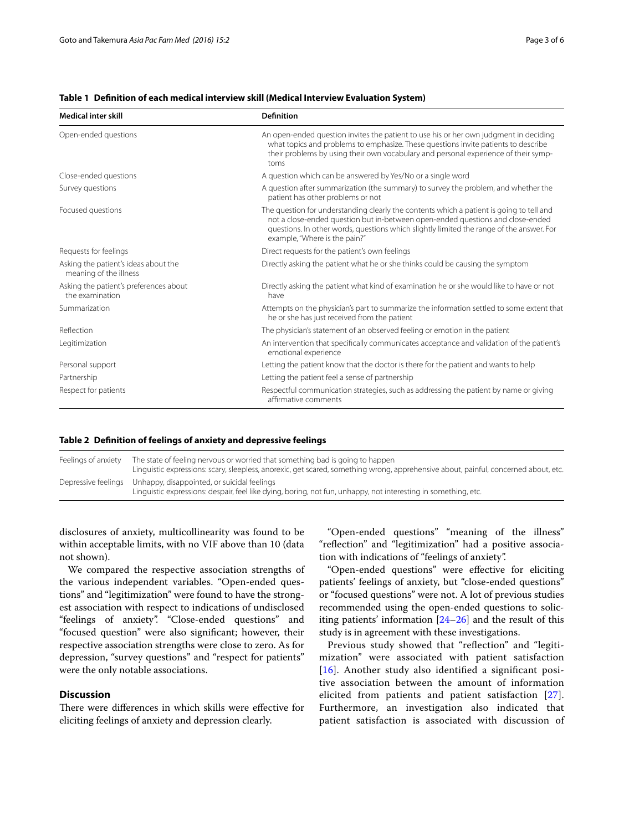| <b>Medical inter skill</b>                                     | <b>Definition</b>                                                                                                                                                                                                                                                                                       |
|----------------------------------------------------------------|---------------------------------------------------------------------------------------------------------------------------------------------------------------------------------------------------------------------------------------------------------------------------------------------------------|
| Open-ended questions                                           | An open-ended question invites the patient to use his or her own judgment in deciding<br>what topics and problems to emphasize. These questions invite patients to describe<br>their problems by using their own vocabulary and personal experience of their symp-<br>toms                              |
| Close-ended questions                                          | A question which can be answered by Yes/No or a single word                                                                                                                                                                                                                                             |
| Survey questions                                               | A question after summarization (the summary) to survey the problem, and whether the<br>patient has other problems or not                                                                                                                                                                                |
| Focused questions                                              | The question for understanding clearly the contents which a patient is going to tell and<br>not a close-ended question but in-between open-ended questions and close-ended<br>questions. In other words, questions which slightly limited the range of the answer. For<br>example, "Where is the pain?" |
| Requests for feelings                                          | Direct requests for the patient's own feelings                                                                                                                                                                                                                                                          |
| Asking the patient's ideas about the<br>meaning of the illness | Directly asking the patient what he or she thinks could be causing the symptom                                                                                                                                                                                                                          |
| Asking the patient's preferences about<br>the examination      | Directly asking the patient what kind of examination he or she would like to have or not<br>have                                                                                                                                                                                                        |
| Summarization                                                  | Attempts on the physician's part to summarize the information settled to some extent that<br>he or she has just received from the patient                                                                                                                                                               |
| Reflection                                                     | The physician's statement of an observed feeling or emotion in the patient                                                                                                                                                                                                                              |
| Legitimization                                                 | An intervention that specifically communicates acceptance and validation of the patient's<br>emotional experience                                                                                                                                                                                       |
| Personal support                                               | Letting the patient know that the doctor is there for the patient and wants to help                                                                                                                                                                                                                     |
| Partnership                                                    | Letting the patient feel a sense of partnership                                                                                                                                                                                                                                                         |
| Respect for patients                                           | Respectful communication strategies, such as addressing the patient by name or giving<br>affirmative comments                                                                                                                                                                                           |

## <span id="page-2-0"></span>**Table 1 Definition of each medical interview skill (Medical Interview Evaluation System)**

# <span id="page-2-1"></span>**Table 2 Definition of feelings of anxiety and depressive feelings**

Feelings of anxiety The state of feeling nervous or worried that something bad is going to happen Linguistic expressions: scary, sleepless, anorexic, get scared, something wrong, apprehensive about, painful, concerned about, etc. Depressive feelings Unhappy, disappointed, or suicidal feelings Linguistic expressions: despair, feel like dying, boring, not fun, unhappy, not interesting in something, etc.

disclosures of anxiety, multicollinearity was found to be within acceptable limits, with no VIF above than 10 (data not shown).

We compared the respective association strengths of the various independent variables. "Open-ended questions" and "legitimization" were found to have the strongest association with respect to indications of undisclosed "feelings of anxiety". "Close-ended questions" and "focused question" were also significant; however, their respective association strengths were close to zero. As for depression, "survey questions" and "respect for patients" were the only notable associations.

# **Discussion**

There were differences in which skills were effective for eliciting feelings of anxiety and depression clearly.

"Open-ended questions" "meaning of the illness" "reflection" and "legitimization" had a positive association with indications of "feelings of anxiety".

"Open-ended questions" were effective for eliciting patients' feelings of anxiety, but "close-ended questions" or "focused questions" were not. A lot of previous studies recommended using the open-ended questions to soliciting patients' information [[24](#page-5-20)[–26](#page-5-21)] and the result of this study is in agreement with these investigations.

Previous study showed that "reflection" and "legitimization" were associated with patient satisfaction [[16](#page-5-14)]. Another study also identified a significant positive association between the amount of information elicited from patients and patient satisfaction [[27\]](#page-5-22). Furthermore, an investigation also indicated that patient satisfaction is associated with discussion of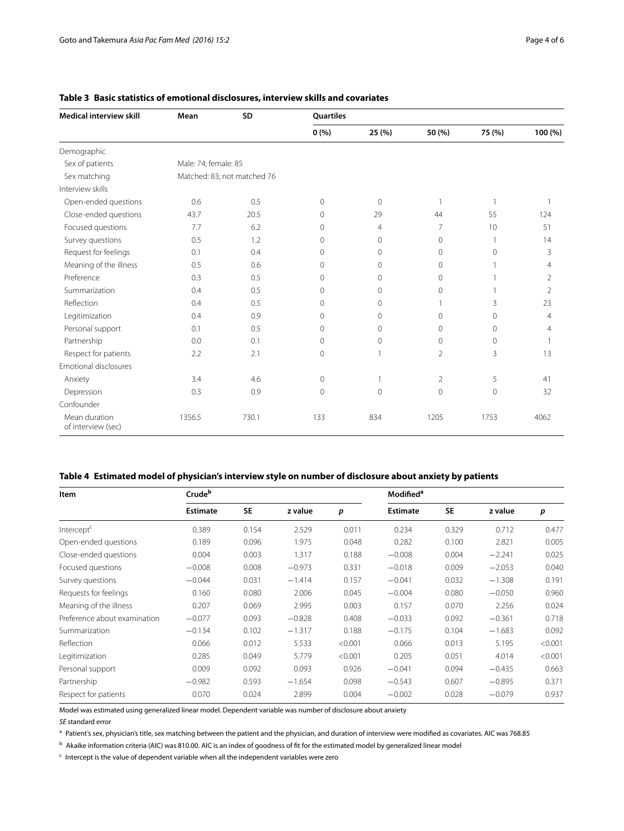| <b>Medical interview skill</b>      | Mean                 | SD                          | <b>Quartiles</b> |                |                |                |                |  |  |
|-------------------------------------|----------------------|-----------------------------|------------------|----------------|----------------|----------------|----------------|--|--|
|                                     |                      |                             | 0(%)             | 25 (%)         | 50 (%)         | 75 (%)         | 100 (%)        |  |  |
| Demographic                         |                      |                             |                  |                |                |                |                |  |  |
| Sex of patients                     | Male: 74; female: 85 |                             |                  |                |                |                |                |  |  |
| Sex matching                        |                      | Matched: 83; not matched 76 |                  |                |                |                |                |  |  |
| Interview skills                    |                      |                             |                  |                |                |                |                |  |  |
| Open-ended questions                | 0.6                  | 0.5                         | $\circ$          | $\circ$        | 1              | $\mathbf{1}$   | 1              |  |  |
| Close-ended questions               | 43.7                 | 20.5                        | 0                | 29             | 44             | 55             | 124            |  |  |
| Focused questions                   | 7.7                  | 6.2                         | 0                | $\overline{4}$ | $\overline{7}$ | 10             | 51             |  |  |
| Survey questions                    | 0.5                  | 1.2                         | 0                | $\circ$        | $\mathbf{0}$   | -1             | 14             |  |  |
| Request for feelings                | 0.1                  | 0.4                         | $\Omega$         | $\Omega$       | $\Omega$       | $\Omega$       | 3              |  |  |
| Meaning of the illness              | 0.5                  | 0.6                         | $\Omega$         | $\Omega$       | $\Omega$       |                | 4              |  |  |
| Preference                          | 0.3                  | 0.5                         | $\Omega$         | $\Omega$       | $\Omega$       |                | $\mathfrak{D}$ |  |  |
| Summarization                       | 0.4                  | 0.5                         | $\Omega$         | $\Omega$       | $\mathbf 0$    | $\overline{1}$ | $\overline{2}$ |  |  |
| Reflection                          | 0.4                  | 0.5                         | 0                | 0              | 1              | 3              | 23             |  |  |
| Legitimization                      | 0.4                  | 0.9                         | 0                | $\circ$        | $\mathbf{0}$   | $\mathbf{0}$   | $\overline{4}$ |  |  |
| Personal support                    | 0.1                  | 0.5                         | 0                | $\Omega$       | $\mathbf{0}$   | $\Omega$       | $\overline{4}$ |  |  |
| Partnership                         | 0.0                  | 0.1                         | $\Omega$         | 0              | $\mathbf{0}$   | $\mathbf{0}$   | 1              |  |  |
| Respect for patients                | 2.2                  | 2.1                         | 0                |                | $\overline{2}$ | 3              | 13             |  |  |
| Emotional disclosures               |                      |                             |                  |                |                |                |                |  |  |
| Anxiety                             | 3.4                  | 4.6                         | 0                |                | $\overline{2}$ | 5              | 41             |  |  |
| Depression                          | 0.3                  | 0.9                         | 0                | $\Omega$       | $\mathbf 0$    | $\mathbf 0$    | 32             |  |  |
| Confounder                          |                      |                             |                  |                |                |                |                |  |  |
| Mean duration<br>of interview (sec) | 1356.5               | 730.1                       | 133              | 834            | 1205           | 1753           | 4062           |  |  |

<span id="page-3-0"></span>

|  | Table 3 Basic statistics of emotional disclosures, interview skills and covariates |  |  |  |  |  |
|--|------------------------------------------------------------------------------------|--|--|--|--|--|
|--|------------------------------------------------------------------------------------|--|--|--|--|--|

# <span id="page-3-1"></span>**Table 4 Estimated model of physician's interview style on number of disclosure about anxiety by patients**

| <b>Item</b>                  | Crudeb          |           |          |         | <b>Modified</b> <sup>a</sup> |           |          |         |
|------------------------------|-----------------|-----------|----------|---------|------------------------------|-----------|----------|---------|
|                              | <b>Estimate</b> | <b>SE</b> | z value  | p       | <b>Estimate</b>              | <b>SE</b> | z value  | p       |
| Intercept <sup>c</sup>       | 0.389           | 0.154     | 2.529    | 0.011   | 0.234                        | 0.329     | 0.712    | 0.477   |
| Open-ended questions         | 0.189           | 0.096     | 1.975    | 0.048   | 0.282                        | 0.100     | 2.821    | 0.005   |
| Close-ended questions        | 0.004           | 0.003     | 1.317    | 0.188   | $-0.008$                     | 0.004     | $-2.241$ | 0.025   |
| Focused questions            | $-0.008$        | 0.008     | $-0.973$ | 0.331   | $-0.018$                     | 0.009     | $-2.053$ | 0.040   |
| Survey questions             | $-0.044$        | 0.031     | $-1.414$ | 0.157   | $-0.041$                     | 0.032     | $-1.308$ | 0.191   |
| Requests for feelings        | 0.160           | 0.080     | 2.006    | 0.045   | $-0.004$                     | 0.080     | $-0.050$ | 0.960   |
| Meaning of the illness       | 0.207           | 0.069     | 2.995    | 0.003   | 0.157                        | 0.070     | 2.256    | 0.024   |
| Preference about examination | $-0.077$        | 0.093     | $-0.828$ | 0.408   | $-0.033$                     | 0.092     | $-0.361$ | 0.718   |
| Summarization                | $-0.134$        | 0.102     | $-1.317$ | 0.188   | $-0.175$                     | 0.104     | $-1.683$ | 0.092   |
| Reflection                   | 0.066           | 0.012     | 5.533    | < 0.001 | 0.066                        | 0.013     | 5.195    | < 0.001 |
| Legitimization               | 0.285           | 0.049     | 5.779    | < 0.001 | 0.205                        | 0.051     | 4.014    | < 0.001 |
| Personal support             | 0.009           | 0.092     | 0.093    | 0.926   | $-0.041$                     | 0.094     | $-0.435$ | 0.663   |
| Partnership                  | $-0.982$        | 0.593     | $-1.654$ | 0.098   | $-0.543$                     | 0.607     | $-0.895$ | 0.371   |
| Respect for patients         | 0.070           | 0.024     | 2.899    | 0.004   | $-0.002$                     | 0.028     | $-0.079$ | 0.937   |

Model was estimated using generalized linear model. Dependent variable was number of disclosure about anxiety

*SE* standard error

<sup>a</sup> Patient's sex, physician's title, sex matching between the patient and the physician, and duration of interview were modified as covariates. AIC was 768.85

 $<sup>b</sup>$  Akaike information criteria (AIC) was 810.00. AIC is an index of goodness of fit for the estimated model by generalized linear model</sup>

 $c$  Intercept is the value of dependent variable when all the independent variables were zero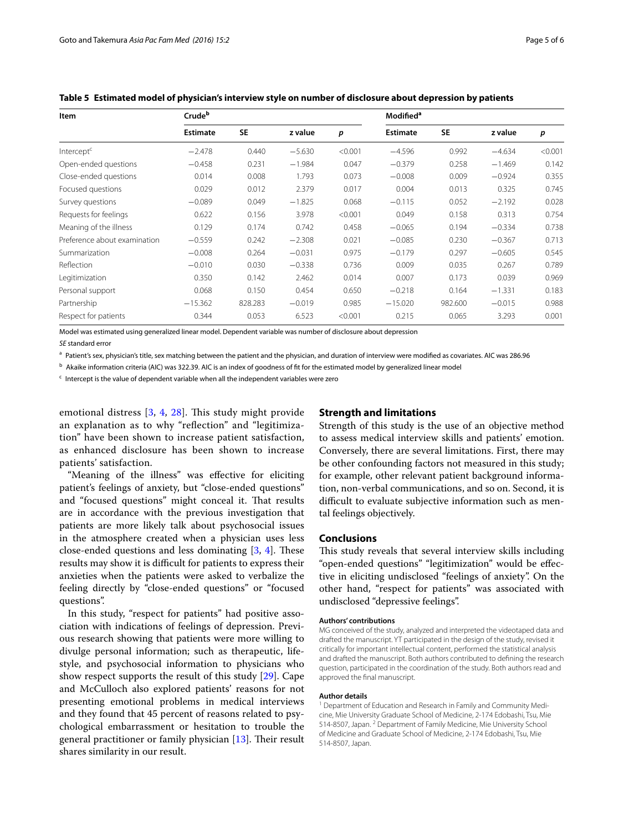| Item                         | Crudeb          |           |          |         | Modified <sup>a</sup> |           |          |         |
|------------------------------|-----------------|-----------|----------|---------|-----------------------|-----------|----------|---------|
|                              | <b>Estimate</b> | <b>SE</b> | z value  | p       | <b>Estimate</b>       | <b>SE</b> | z value  | p       |
| Intercept <sup>c</sup>       | $-2.478$        | 0.440     | $-5.630$ | < 0.001 | $-4.596$              | 0.992     | $-4.634$ | < 0.001 |
| Open-ended questions         | $-0.458$        | 0.231     | $-1.984$ | 0.047   | $-0.379$              | 0.258     | $-1.469$ | 0.142   |
| Close-ended questions        | 0.014           | 0.008     | 1.793    | 0.073   | $-0.008$              | 0.009     | $-0.924$ | 0.355   |
| Focused questions            | 0.029           | 0.012     | 2.379    | 0.017   | 0.004                 | 0.013     | 0.325    | 0.745   |
| Survey questions             | $-0.089$        | 0.049     | $-1.825$ | 0.068   | $-0.115$              | 0.052     | $-2.192$ | 0.028   |
| Requests for feelings        | 0.622           | 0.156     | 3.978    | < 0.001 | 0.049                 | 0.158     | 0.313    | 0.754   |
| Meaning of the illness       | 0.129           | 0.174     | 0.742    | 0.458   | $-0.065$              | 0.194     | $-0.334$ | 0.738   |
| Preference about examination | $-0.559$        | 0.242     | $-2.308$ | 0.021   | $-0.085$              | 0.230     | $-0.367$ | 0.713   |
| Summarization                | $-0.008$        | 0.264     | $-0.031$ | 0.975   | $-0.179$              | 0.297     | $-0.605$ | 0.545   |
| Reflection                   | $-0.010$        | 0.030     | $-0.338$ | 0.736   | 0.009                 | 0.035     | 0.267    | 0.789   |
| Legitimization               | 0.350           | 0.142     | 2.462    | 0.014   | 0.007                 | 0.173     | 0.039    | 0.969   |
| Personal support             | 0.068           | 0.150     | 0.454    | 0.650   | $-0.218$              | 0.164     | $-1.331$ | 0.183   |
| Partnership                  | $-15.362$       | 828.283   | $-0.019$ | 0.985   | $-15.020$             | 982.600   | $-0.015$ | 0.988   |
| Respect for patients         | 0.344           | 0.053     | 6.523    | < 0.001 | 0.215                 | 0.065     | 3.293    | 0.001   |

<span id="page-4-0"></span>**Table 5 Estimated model of physician's interview style on number of disclosure about depression by patients**

Model was estimated using generalized linear model. Dependent variable was number of disclosure about depression

*SE* standard error

<sup>a</sup> Patient's sex, physician's title, sex matching between the patient and the physician, and duration of interview were modified as covariates. AIC was 286.96

<sup>b</sup> Akaike information criteria (AIC) was 322.39. AIC is an index of goodness of fit for the estimated model by generalized linear model

<sup>c</sup> Intercept is the value of dependent variable when all the independent variables were zero

emotional distress [[3,](#page-5-2) [4,](#page-5-23) [28](#page-5-24)]. This study might provide an explanation as to why "reflection" and "legitimization" have been shown to increase patient satisfaction, as enhanced disclosure has been shown to increase patients' satisfaction.

"Meaning of the illness" was effective for eliciting patient's feelings of anxiety, but "close-ended questions" and "focused questions" might conceal it. That results are in accordance with the previous investigation that patients are more likely talk about psychosocial issues in the atmosphere created when a physician uses less close-ended questions and less dominating [\[3](#page-5-2), [4\]](#page-5-23). These results may show it is difficult for patients to express their anxieties when the patients were asked to verbalize the feeling directly by "close-ended questions" or "focused questions".

In this study, "respect for patients" had positive association with indications of feelings of depression. Previous research showing that patients were more willing to divulge personal information; such as therapeutic, lifestyle, and psychosocial information to physicians who show respect supports the result of this study [\[29](#page-5-25)]. Cape and McCulloch also explored patients' reasons for not presenting emotional problems in medical interviews and they found that 45 percent of reasons related to psychological embarrassment or hesitation to trouble the general practitioner or family physician [[13\]](#page-5-11). Their result shares similarity in our result.

# **Strength and limitations**

Strength of this study is the use of an objective method to assess medical interview skills and patients' emotion. Conversely, there are several limitations. First, there may be other confounding factors not measured in this study; for example, other relevant patient background information, non-verbal communications, and so on. Second, it is difficult to evaluate subjective information such as mental feelings objectively.

# **Conclusions**

This study reveals that several interview skills including "open-ended questions" "legitimization" would be effective in eliciting undisclosed "feelings of anxiety". On the other hand, "respect for patients" was associated with undisclosed "depressive feelings".

#### **Authors' contributions**

MG conceived of the study, analyzed and interpreted the videotaped data and drafted the manuscript. YT participated in the design of the study, revised it critically for important intellectual content, performed the statistical analysis and drafted the manuscript. Both authors contributed to defining the research question, participated in the coordination of the study. Both authors read and approved the final manuscript.

#### **Author details**

<sup>1</sup> Department of Education and Research in Family and Community Medicine, Mie University Graduate School of Medicine, 2-174 Edobashi, Tsu, Mie 514-8507, Japan. <sup>2</sup> Department of Family Medicine, Mie University School of Medicine and Graduate School of Medicine, 2-174 Edobashi, Tsu, Mie 514-8507, Japan.